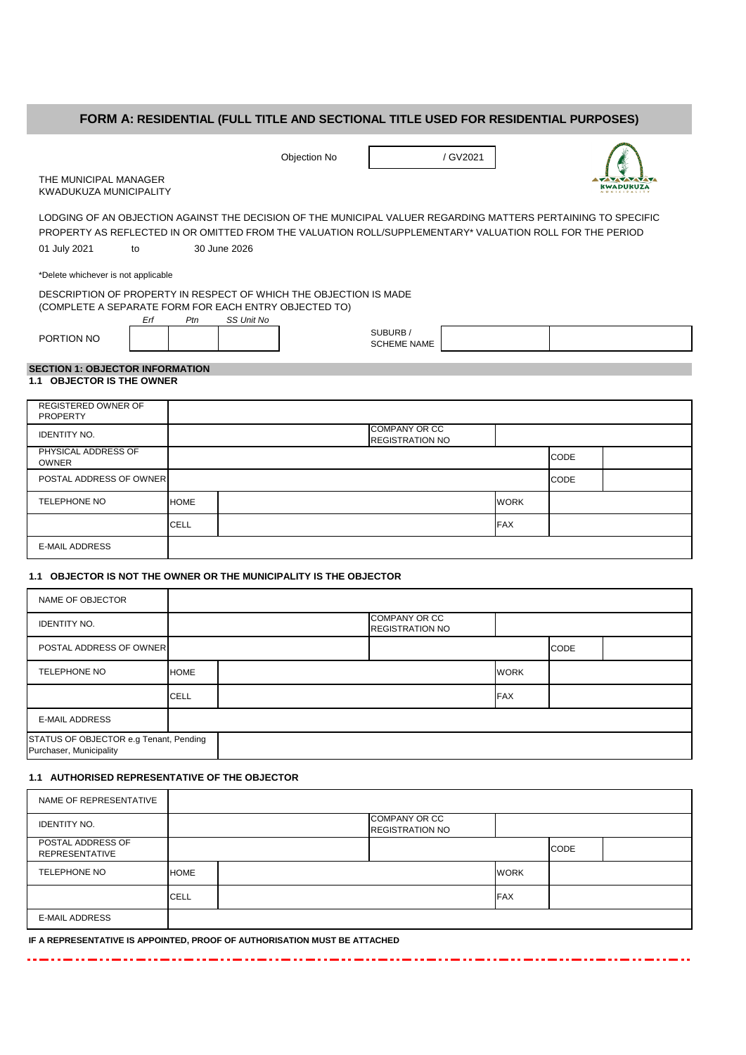# **FORM A: RESIDENTIAL (FULL TITLE AND SECTIONAL TITLE USED FOR RESIDENTIAL PURPOSES)**

|                                                                                                                                                                                                                           | Objection No                                                                                                                                    | / GV2021                      |                  |  |  |  |  |  |  |
|---------------------------------------------------------------------------------------------------------------------------------------------------------------------------------------------------------------------------|-------------------------------------------------------------------------------------------------------------------------------------------------|-------------------------------|------------------|--|--|--|--|--|--|
| THE MUNICIPAL MANAGER<br><b>KWADUKUZA MUNICIPALITY</b>                                                                                                                                                                    |                                                                                                                                                 |                               | <b>KWADUKUZA</b> |  |  |  |  |  |  |
| LODGING OF AN OBJECTION AGAINST THE DECISION OF THE MUNICIPAL VALUER REGARDING MATTERS PERTAINING TO SPECIFIC<br>PROPERTY AS REFLECTED IN OR OMITTED FROM THE VALUATION ROLL/SUPPLEMENTARY* VALUATION ROLL FOR THE PERIOD |                                                                                                                                                 |                               |                  |  |  |  |  |  |  |
| 01 July 2021<br>to                                                                                                                                                                                                        | 30 June 2026                                                                                                                                    |                               |                  |  |  |  |  |  |  |
| *Delete whichever is not applicable                                                                                                                                                                                       |                                                                                                                                                 |                               |                  |  |  |  |  |  |  |
| Erf                                                                                                                                                                                                                       | DESCRIPTION OF PROPERTY IN RESPECT OF WHICH THE OBJECTION IS MADE<br>(COMPLETE A SEPARATE FORM FOR EACH ENTRY OBJECTED TO)<br>SS Unit No<br>Ptn |                               |                  |  |  |  |  |  |  |
| PORTION NO                                                                                                                                                                                                                |                                                                                                                                                 | SUBURB/<br><b>SCHEME NAME</b> |                  |  |  |  |  |  |  |
| <b>SECTION 1: OBJECTOR INFORMATION</b>                                                                                                                                                                                    |                                                                                                                                                 |                               |                  |  |  |  |  |  |  |
| <b>1.1 OBJECTOR IS THE OWNER</b>                                                                                                                                                                                          |                                                                                                                                                 |                               |                  |  |  |  |  |  |  |
| <b>REGISTERED OWNER OF</b><br><b>PROPERTY</b>                                                                                                                                                                             |                                                                                                                                                 |                               |                  |  |  |  |  |  |  |

| <b>IDENTITY NO.</b>                 |             | <b>COMPANY OR CC</b><br><b>REGISTRATION NO</b> |             |             |  |
|-------------------------------------|-------------|------------------------------------------------|-------------|-------------|--|
| PHYSICAL ADDRESS OF<br><b>OWNER</b> |             |                                                |             | <b>CODE</b> |  |
| POSTAL ADDRESS OF OWNER             |             |                                                |             | CODE        |  |
| TELEPHONE NO                        | <b>HOME</b> |                                                | <b>WORK</b> |             |  |
|                                     | <b>CELL</b> |                                                | <b>FAX</b>  |             |  |
| <b>E-MAIL ADDRESS</b>               |             |                                                |             |             |  |

#### **1.1 OBJECTOR IS NOT THE OWNER OR THE MUNICIPALITY IS THE OBJECTOR**

| NAME OF OBJECTOR                                                  |             |                                                |             |             |  |
|-------------------------------------------------------------------|-------------|------------------------------------------------|-------------|-------------|--|
| <b>IDENTITY NO.</b>                                               |             | <b>COMPANY OR CC</b><br><b>REGISTRATION NO</b> |             |             |  |
| <b>POSTAL ADDRESS OF OWNER</b>                                    |             |                                                |             | <b>CODE</b> |  |
| TELEPHONE NO                                                      | <b>HOME</b> |                                                | <b>WORK</b> |             |  |
|                                                                   | <b>CELL</b> |                                                | <b>FAX</b>  |             |  |
| <b>E-MAIL ADDRESS</b>                                             |             |                                                |             |             |  |
| STATUS OF OBJECTOR e.g Tenant, Pending<br>Purchaser, Municipality |             |                                                |             |             |  |

# **1.1 AUTHORISED REPRESENTATIVE OF THE OBJECTOR**

| NAME OF REPRESENTATIVE                     |             |                                                |             |             |  |
|--------------------------------------------|-------------|------------------------------------------------|-------------|-------------|--|
| <b>IDENTITY NO.</b>                        |             | <b>COMPANY OR CC</b><br><b>REGISTRATION NO</b> |             |             |  |
| POSTAL ADDRESS OF<br><b>REPRESENTATIVE</b> |             |                                                |             | <b>CODE</b> |  |
| TELEPHONE NO                               | <b>HOME</b> |                                                | <b>WORK</b> |             |  |
|                                            | <b>CELL</b> |                                                | <b>FAX</b>  |             |  |
| <b>E-MAIL ADDRESS</b>                      |             |                                                |             |             |  |

- 33

**IF A REPRESENTATIVE IS APPOINTED, PROOF OF AUTHORISATION MUST BE ATTACHED**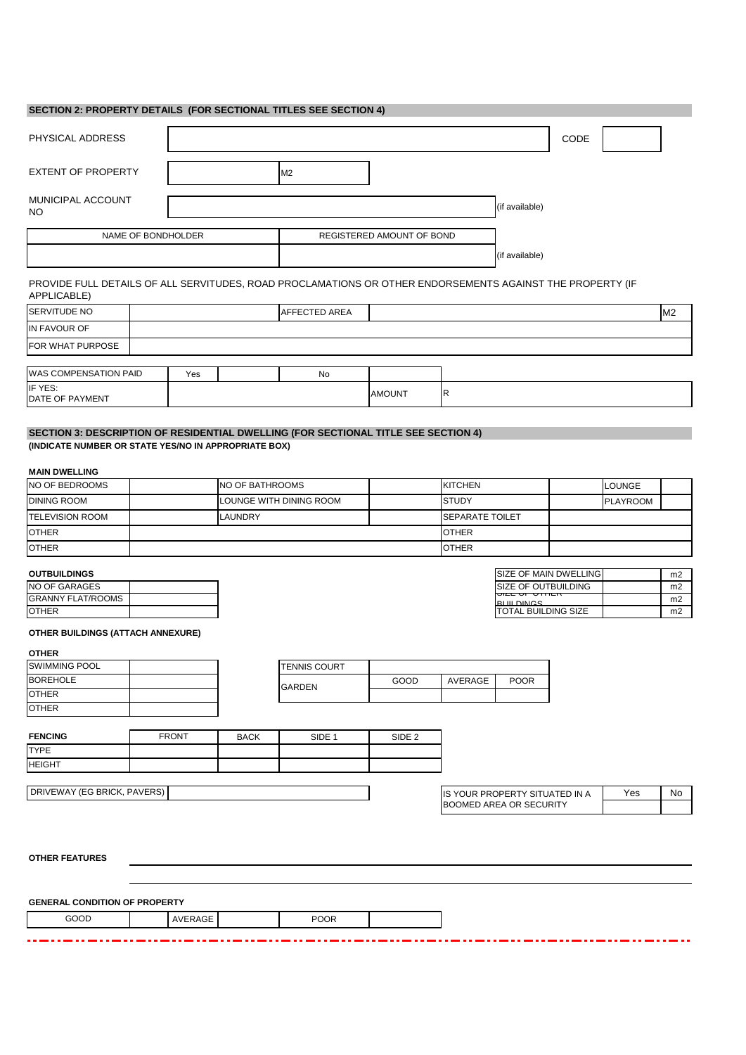#### **SECTION 2: PROPERTY DETAILS (FOR SECTIONAL TITLES SEE SECTION 4)**

| PHYSICAL ADDRESS               |    |                           |                | CODE |
|--------------------------------|----|---------------------------|----------------|------|
| <b>EXTENT OF PROPERTY</b>      | M2 |                           |                |      |
| MUNICIPAL ACCOUNT<br><b>NO</b> |    |                           | (if available) |      |
| NAME OF BONDHOLDER             |    | REGISTERED AMOUNT OF BOND |                |      |
|                                |    |                           | (if available) |      |

PROVIDE FULL DETAILS OF ALL SERVITUDES, ROAD PROCLAMATIONS OR OTHER ENDORSEMENTS AGAINST THE PROPERTY (IF APPLICABLE)

| SERVITUDE NO               |     | <b>AFFECTED AREA</b> |               |    | M <sub>2</sub> |
|----------------------------|-----|----------------------|---------------|----|----------------|
| IN FAVOUR OF               |     |                      |               |    |                |
| FOR WHAT PURPOSE           |     |                      |               |    |                |
|                            |     |                      |               |    |                |
| WAS COMPENSATION PAID      | Yes | No                   |               |    |                |
| IF YES:<br>DATE OF PAYMENT |     |                      | <b>AMOUNT</b> | IR |                |

## **SECTION 3: DESCRIPTION OF RESIDENTIAL DWELLING (FOR SECTIONAL TITLE SEE SECTION 4) (INDICATE NUMBER OR STATE YES/NO IN APPROPRIATE BOX)**

# **MAIN DWELLING**

| NO OF BEDROOMS         | NO OF BATHROOMS         | <b>KITCHEN</b>         | <b>LOUNGE</b>   |  |
|------------------------|-------------------------|------------------------|-----------------|--|
| <b>DINING ROOM</b>     | LOUNGE WITH DINING ROOM | <b>STUDY</b>           | <b>PLAYROOM</b> |  |
| <b>TELEVISION ROOM</b> | <b>LAUNDRY</b>          | <b>SEPARATE TOILET</b> |                 |  |
| <b>OTHER</b>           |                         | <b>OTHER</b>           |                 |  |
| <b>OTHER</b>           |                         | <b>OTHER</b>           |                 |  |

## **OUTBUILDINGS**

| <b>NO OF GARAGES</b>     |  |
|--------------------------|--|
| <b>GRANNY FLAT/ROOMS</b> |  |
| <b>OTHER</b>             |  |

| SIZE OF MAIN DWELLING      | m <sub>2</sub> |
|----------------------------|----------------|
| SIZE OF OUTBUILDING        | m <sub>2</sub> |
| ייוודיס וט וועד            | m <sub>2</sub> |
| <b>DI III DINCE</b>        |                |
| <b>TOTAL BUILDING SIZE</b> | m <sub>2</sub> |

#### **OTHER BUILDINGS (ATTACH ANNEXURE)**

#### **OTHER**

| <b>SWIMMING POOL</b> |               | <b>TENNIS COURT</b> |      |         |             |
|----------------------|---------------|---------------------|------|---------|-------------|
| <b>BOREHOLE</b>      |               |                     | GOOD | AVERAGE | <b>POOR</b> |
| <b>IOTHER</b>        | <b>GARDEN</b> |                     |      |         |             |
| <b>IOTHER</b>        |               |                     |      |         |             |

| <b>FENCING</b> | <b>FRONT</b> | <b>BACK</b> | SIDE 1 | SIDE <sub>2</sub> |
|----------------|--------------|-------------|--------|-------------------|
| <b>TYPE</b>    |              |             |        |                   |
| <b>IHEIGHT</b> |              |             |        |                   |

DRIVEWAY (EG BRICK, PAVERS)

Yes No IS YOUR PROPERTY SITUATED IN A BOOMED AREA OR SECURITY

- 33

**OTHER FEATURES** 

**GENERAL CONDITION OF PROPERTY**

AVERAGE POOR GOOD

----------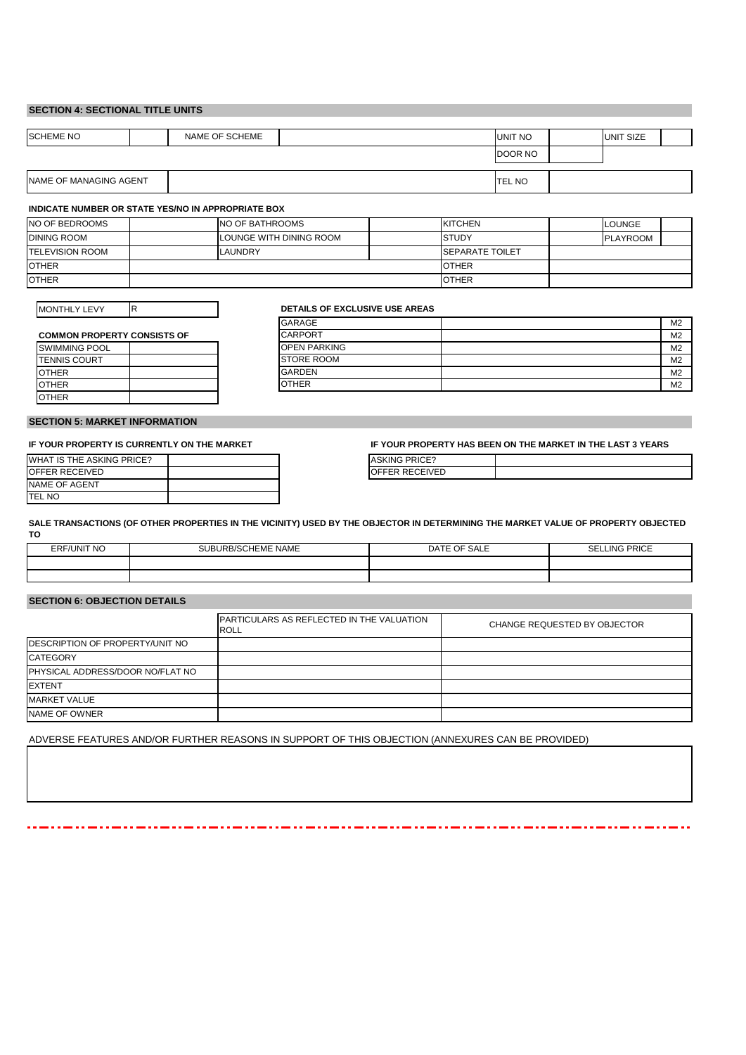#### **SECTION 4: SECTIONAL TITLE UNITS**

| <b>SCHEME NO</b>       | NAME OF SCHEME |  | <b>UNIT NO</b> | <b>UNIT SIZE</b> |  |
|------------------------|----------------|--|----------------|------------------|--|
|                        |                |  | DOOR NO        |                  |  |
| NAME OF MANAGING AGENT |                |  | <b>TEL NO</b>  |                  |  |

#### **INDICATE NUMBER OR STATE YES/NO IN APPROPRIATE BOX**

| NO OF BEDROOMS         | INO OF BATHROOMS        | <b>KITCHEN</b>          | <b>LOUNGE</b>   |
|------------------------|-------------------------|-------------------------|-----------------|
| <b>DINING ROOM</b>     | LOUNGE WITH DINING ROOM | <b>STUDY</b>            | <b>PLAYROOM</b> |
| <b>TELEVISION ROOM</b> | LAUNDRY                 | <b>ISEPARATE TOILET</b> |                 |
| <b>OTHER</b>           |                         | <b>OTHER</b>            |                 |
| <b>OTHER</b>           |                         | <b>OTHER</b>            |                 |

MONTHLY LEVY

#### **DETAILS OF EXCLUSIVE USE AREAS**

| <b>COMMON PROPERTY CONSISTS OF</b> | <b>CARPORT</b> |
|------------------------------------|----------------|
|------------------------------------|----------------|

| <b>SWIMMING POOL</b> |  |
|----------------------|--|
| <b>TENNIS COURT</b>  |  |
| <b>OTHER</b>         |  |
| <b>OTHER</b>         |  |
| <b>OTHER</b>         |  |

R

| <b>GARAGE</b>                                        | M <sub>2</sub> |
|------------------------------------------------------|----------------|
| <b>CARPORT</b><br><b>COMMON PROPERTY CONSISTS OF</b> | M <sub>2</sub> |
| <b>OPEN PARKING</b><br>SWIMMING POOL                 | M <sub>2</sub> |
| <b>STORE ROOM</b><br><b>TENNIS COURT</b>             | M <sub>2</sub> |
| <b>GARDEN</b><br><b>OTHER</b>                        | M <sub>2</sub> |
| <b>OTHER</b><br>OTHER                                | M <sub>2</sub> |

#### **SECTION 5: MARKET INFORMATION**

**IF YOUR PROPERTY IS CURRENTLY ON THE MARKET**

| WHAT IS THE ASKING PRICE? |  |
|---------------------------|--|
| <b>OFFER RECEIVED</b>     |  |
| <b>NAME OF AGENT</b>      |  |
| <b>ITFI NO</b>            |  |

**IF YOUR PROPERTY HAS BEEN ON THE MARKET IN THE LAST 3 YEARS**

| <b>ASKING PRICE?</b> |  |
|----------------------|--|
| OFFER RECEIVED       |  |
|                      |  |

**SALE TRANSACTIONS (OF OTHER PROPERTIES IN THE VICINITY) USED BY THE OBJECTOR IN DETERMINING THE MARKET VALUE OF PROPERTY OBJECTED TO**

| <b>ERF/UNIT NO</b> | <b>IURB/SCHEME NAME</b><br>SLIBL. | SALE<br>$\epsilon$ of<br>DAT <sup>r</sup><br>– U⊨ | LING PRICE<br>$\sim$<br>ъь. |
|--------------------|-----------------------------------|---------------------------------------------------|-----------------------------|
|                    |                                   |                                                   |                             |
|                    |                                   |                                                   |                             |

## **SECTION 6: OBJECTION DETAILS**

|                                  | PARTICULARS AS REFLECTED IN THE VALUATION<br><b>ROLL</b> | CHANGE REQUESTED BY OBJECTOR |
|----------------------------------|----------------------------------------------------------|------------------------------|
| DESCRIPTION OF PROPERTY/UNIT NO  |                                                          |                              |
| <b>CATEGORY</b>                  |                                                          |                              |
| PHYSICAL ADDRESS/DOOR NO/FLAT NO |                                                          |                              |
| <b>EXTENT</b>                    |                                                          |                              |
| <b>MARKET VALUE</b>              |                                                          |                              |
| NAME OF OWNER                    |                                                          |                              |

ADVERSE FEATURES AND/OR FURTHER REASONS IN SUPPORT OF THIS OBJECTION (ANNEXURES CAN BE PROVIDED)

٦